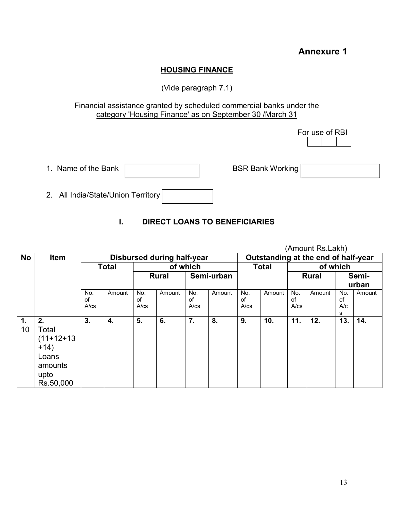# **Annexure 1**

### **HOUSING FINANCE**

(Vide paragraph 7.1)

#### Financial assistance granted by scheduled commercial banks under the category 'Housing Finance' as on September 30 /March 31

For use of RBI

| 1. Name of the Bank |  |
|---------------------|--|
|                     |  |

BSR Bank Working

2. All India/State/Union Territory

### **I. DIRECT LOANS TO BENEFICIARIES**

|               |                                       |                                   |        |                         |        |                         |                                     |                         | (Amount RS.Lakh) |                         |        |                       |        |
|---------------|---------------------------------------|-----------------------------------|--------|-------------------------|--------|-------------------------|-------------------------------------|-------------------------|------------------|-------------------------|--------|-----------------------|--------|
| <b>No</b>     | <b>Item</b>                           | <b>Disbursed during half-year</b> |        |                         |        |                         | Outstanding at the end of half-year |                         |                  |                         |        |                       |        |
|               |                                       | <b>Total</b>                      |        | of which                |        |                         |                                     | <b>Total</b>            |                  | of which                |        |                       |        |
|               |                                       |                                   |        | <b>Rural</b>            |        | Semi-urban              |                                     |                         |                  | <b>Rural</b>            |        | Semi-                 |        |
|               |                                       |                                   |        |                         |        |                         |                                     |                         |                  |                         |        | urban                 |        |
|               |                                       | No.<br>of<br>$A$ / $cs$           | Amount | No.<br>οf<br>$A$ / $cs$ | Amount | No.<br>0f<br>$A$ / $cs$ | Amount                              | No.<br>οf<br>$A$ / $cs$ | Amount           | No.<br>of<br>$A$ / $cs$ | Amount | No.<br>of<br>A/c<br>s | Amount |
| $\mathbf 1$ . | 2.                                    | 3.                                | 4.     | 5.                      | 6.     | 7.                      | 8.                                  | 9.                      | 10.              | 11.                     | 12.    | 13.                   | 14.    |
| 10            | Total<br>$(11+12+13)$<br>$+14)$       |                                   |        |                         |        |                         |                                     |                         |                  |                         |        |                       |        |
|               | Loans<br>amounts<br>upto<br>Rs.50,000 |                                   |        |                         |        |                         |                                     |                         |                  |                         |        |                       |        |

(Amount Rs.Lakh)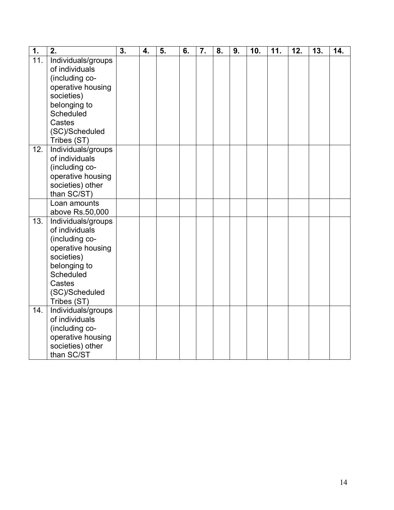| $\overline{1}$ .  | $\overline{2}$ .          | $\overline{3}$ . | 4. | $\overline{5}$ . | 6. | $\overline{7}$ . | $\overline{8}$ . | 9. | 10. | 11. | 12. | 13. | 14. |
|-------------------|---------------------------|------------------|----|------------------|----|------------------|------------------|----|-----|-----|-----|-----|-----|
| $\overline{11}$ . | Individuals/groups        |                  |    |                  |    |                  |                  |    |     |     |     |     |     |
|                   | of individuals            |                  |    |                  |    |                  |                  |    |     |     |     |     |     |
|                   | (including co-            |                  |    |                  |    |                  |                  |    |     |     |     |     |     |
|                   | operative housing         |                  |    |                  |    |                  |                  |    |     |     |     |     |     |
|                   | societies)                |                  |    |                  |    |                  |                  |    |     |     |     |     |     |
|                   | belonging to              |                  |    |                  |    |                  |                  |    |     |     |     |     |     |
|                   | Scheduled                 |                  |    |                  |    |                  |                  |    |     |     |     |     |     |
|                   | Castes<br>(SC)/Scheduled  |                  |    |                  |    |                  |                  |    |     |     |     |     |     |
|                   | Tribes (ST)               |                  |    |                  |    |                  |                  |    |     |     |     |     |     |
| 12.               | Individuals/groups        |                  |    |                  |    |                  |                  |    |     |     |     |     |     |
|                   | of individuals            |                  |    |                  |    |                  |                  |    |     |     |     |     |     |
|                   | (including co-            |                  |    |                  |    |                  |                  |    |     |     |     |     |     |
|                   | operative housing         |                  |    |                  |    |                  |                  |    |     |     |     |     |     |
|                   | societies) other          |                  |    |                  |    |                  |                  |    |     |     |     |     |     |
|                   | than SC/ST)               |                  |    |                  |    |                  |                  |    |     |     |     |     |     |
|                   | Loan amounts              |                  |    |                  |    |                  |                  |    |     |     |     |     |     |
|                   | above Rs.50,000           |                  |    |                  |    |                  |                  |    |     |     |     |     |     |
| 13.               | Individuals/groups        |                  |    |                  |    |                  |                  |    |     |     |     |     |     |
|                   | of individuals            |                  |    |                  |    |                  |                  |    |     |     |     |     |     |
|                   | (including co-            |                  |    |                  |    |                  |                  |    |     |     |     |     |     |
|                   | operative housing         |                  |    |                  |    |                  |                  |    |     |     |     |     |     |
|                   | societies)                |                  |    |                  |    |                  |                  |    |     |     |     |     |     |
|                   | belonging to<br>Scheduled |                  |    |                  |    |                  |                  |    |     |     |     |     |     |
|                   | Castes                    |                  |    |                  |    |                  |                  |    |     |     |     |     |     |
|                   | (SC)/Scheduled            |                  |    |                  |    |                  |                  |    |     |     |     |     |     |
|                   | Tribes (ST)               |                  |    |                  |    |                  |                  |    |     |     |     |     |     |
| 14.               | Individuals/groups        |                  |    |                  |    |                  |                  |    |     |     |     |     |     |
|                   | of individuals            |                  |    |                  |    |                  |                  |    |     |     |     |     |     |
|                   | (including co-            |                  |    |                  |    |                  |                  |    |     |     |     |     |     |
|                   | operative housing         |                  |    |                  |    |                  |                  |    |     |     |     |     |     |
|                   | societies) other          |                  |    |                  |    |                  |                  |    |     |     |     |     |     |
|                   | than SC/ST                |                  |    |                  |    |                  |                  |    |     |     |     |     |     |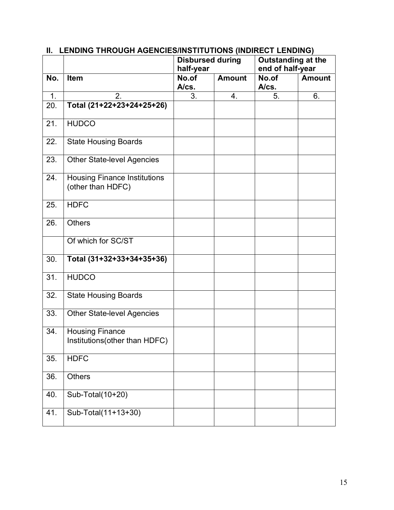|     |                                                          | <b>Disbursed during</b><br>half-year |               | <b>Outstanding at the</b><br>end of half-year |               |  |
|-----|----------------------------------------------------------|--------------------------------------|---------------|-----------------------------------------------|---------------|--|
| No. | Item                                                     | No.of<br>A/cs.                       | <b>Amount</b> | No.of<br>A/cs.                                | <b>Amount</b> |  |
| 1.  | 2.                                                       | 3.                                   | 4.            | 5.                                            | 6.            |  |
| 20. | Total (21+22+23+24+25+26)                                |                                      |               |                                               |               |  |
| 21. | <b>HUDCO</b>                                             |                                      |               |                                               |               |  |
| 22. | <b>State Housing Boards</b>                              |                                      |               |                                               |               |  |
| 23. | <b>Other State-level Agencies</b>                        |                                      |               |                                               |               |  |
| 24. | <b>Housing Finance Institutions</b><br>(other than HDFC) |                                      |               |                                               |               |  |
| 25. | <b>HDFC</b>                                              |                                      |               |                                               |               |  |
| 26. | <b>Others</b>                                            |                                      |               |                                               |               |  |
|     | Of which for SC/ST                                       |                                      |               |                                               |               |  |
| 30. | Total (31+32+33+34+35+36)                                |                                      |               |                                               |               |  |
| 31. | <b>HUDCO</b>                                             |                                      |               |                                               |               |  |
| 32. | <b>State Housing Boards</b>                              |                                      |               |                                               |               |  |
| 33. | <b>Other State-level Agencies</b>                        |                                      |               |                                               |               |  |
| 34. | <b>Housing Finance</b><br>Institutions(other than HDFC)  |                                      |               |                                               |               |  |
| 35. | <b>HDFC</b>                                              |                                      |               |                                               |               |  |
| 36. | <b>Others</b>                                            |                                      |               |                                               |               |  |
| 40. | Sub-Total( $\overline{10+20}$ )                          |                                      |               |                                               |               |  |
| 41. | Sub-Total(11+13+30)                                      |                                      |               |                                               |               |  |

## **II. LENDING THROUGH AGENCIES/INSTITUTIONS (INDIRECT LENDING)**